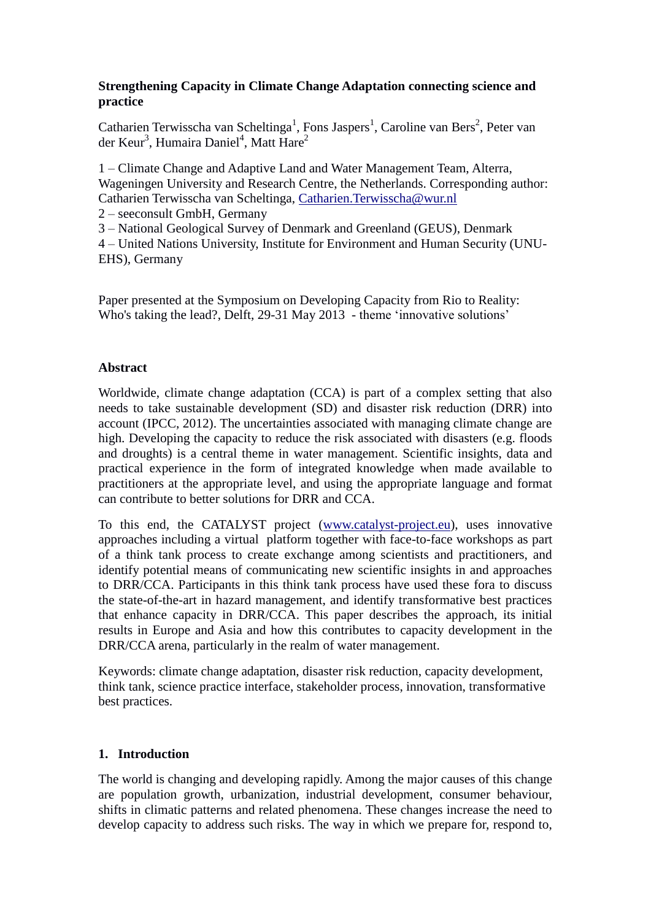## **Strengthening Capacity in Climate Change Adaptation connecting science and practice**

Catharien Terwisscha van Scheltinga<sup>1</sup>, Fons Jaspers<sup>1</sup>, Caroline van Bers<sup>2</sup>, Peter van der Keur<sup>3</sup>, Humaira Daniel<sup>4</sup>, Matt Hare<sup>2</sup>

1 – Climate Change and Adaptive Land and Water Management Team, Alterra, Wageningen University and Research Centre, the Netherlands. Corresponding author: Catharien Terwisscha van Scheltinga, [Catharien.Terwisscha@wur.nl](mailto:Catharien.Terwisscha@wur.nl)

2 – seeconsult GmbH, Germany

3 – National Geological Survey of Denmark and Greenland (GEUS), Denmark

4 – United Nations University, Institute for Environment and Human Security (UNU-EHS), Germany

Paper presented at the Symposium on Developing Capacity from Rio to Reality: Who's taking the lead?, Delft, 29-31 May 2013 - theme 'innovative solutions'

## **Abstract**

Worldwide, climate change adaptation (CCA) is part of a complex setting that also needs to take sustainable development (SD) and disaster risk reduction (DRR) into account (IPCC, 2012). The uncertainties associated with managing climate change are high. Developing the capacity to reduce the risk associated with disasters (e.g. floods) and droughts) is a central theme in water management. Scientific insights, data and practical experience in the form of integrated knowledge when made available to practitioners at the appropriate level, and using the appropriate language and format can contribute to better solutions for DRR and CCA.

To this end, the CATALYST project [\(www.catalyst-project.eu\)](http://www.catalyst-project.eu/), uses innovative approaches including a virtual platform together with face-to-face workshops as part of a think tank process to create exchange among scientists and practitioners, and identify potential means of communicating new scientific insights in and approaches to DRR/CCA. Participants in this think tank process have used these fora to discuss the state-of-the-art in hazard management, and identify transformative best practices that enhance capacity in DRR/CCA. This paper describes the approach, its initial results in Europe and Asia and how this contributes to capacity development in the DRR/CCA arena, particularly in the realm of water management.

Keywords: climate change adaptation, disaster risk reduction, capacity development, think tank, science practice interface, stakeholder process, innovation, transformative best practices.

## **1. Introduction**

The world is changing and developing rapidly. Among the major causes of this change are population growth, urbanization, industrial development, consumer behaviour, shifts in climatic patterns and related phenomena. These changes increase the need to develop capacity to address such risks. The way in which we prepare for, respond to,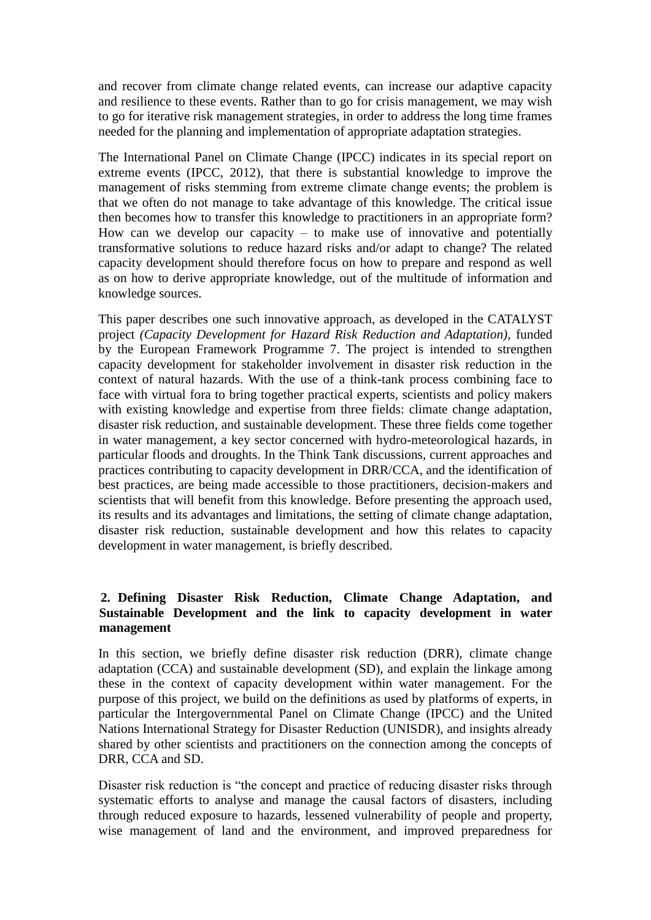and recover from climate change related events, can increase our adaptive capacity and resilience to these events. Rather than to go for crisis management, we may wish to go for iterative risk management strategies, in order to address the long time frames needed for the planning and implementation of appropriate adaptation strategies.

The International Panel on Climate Change (IPCC) indicates in its special report on extreme events (IPCC, 2012), that there is substantial knowledge to improve the management of risks stemming from extreme climate change events; the problem is that we often do not manage to take advantage of this knowledge. The critical issue then becomes how to transfer this knowledge to practitioners in an appropriate form? How can we develop our capacity – to make use of innovative and potentially transformative solutions to reduce hazard risks and/or adapt to change? The related capacity development should therefore focus on how to prepare and respond as well as on how to derive appropriate knowledge, out of the multitude of information and knowledge sources.

This paper describes one such innovative approach, as developed in the CATALYST project *(Capacity Development for Hazard Risk Reduction and Adaptation)*, funded by the European Framework Programme 7. The project is intended to strengthen capacity development for stakeholder involvement in disaster risk reduction in the context of natural hazards. With the use of a think-tank process combining face to face with virtual fora to bring together practical experts, scientists and policy makers with existing knowledge and expertise from three fields: climate change adaptation, disaster risk reduction, and sustainable development. These three fields come together in water management, a key sector concerned with hydro-meteorological hazards, in particular floods and droughts. In the Think Tank discussions, current approaches and practices contributing to capacity development in DRR/CCA, and the identification of best practices, are being made accessible to those practitioners, decision-makers and scientists that will benefit from this knowledge. Before presenting the approach used, its results and its advantages and limitations, the setting of climate change adaptation, disaster risk reduction, sustainable development and how this relates to capacity development in water management, is briefly described.

## **2. Defining Disaster Risk Reduction, Climate Change Adaptation, and Sustainable Development and the link to capacity development in water management**

In this section, we briefly define disaster risk reduction (DRR), climate change adaptation (CCA) and sustainable development (SD), and explain the linkage among these in the context of capacity development within water management. For the purpose of this project, we build on the definitions as used by platforms of experts, in particular the Intergovernmental Panel on Climate Change (IPCC) and the United Nations International Strategy for Disaster Reduction (UNISDR), and insights already shared by other scientists and practitioners on the connection among the concepts of DRR, CCA and SD.

Disaster risk reduction is "the concept and practice of reducing disaster risks through systematic efforts to analyse and manage the causal factors of disasters, including through reduced exposure to hazards, lessened vulnerability of people and property, wise management of land and the environment, and improved preparedness for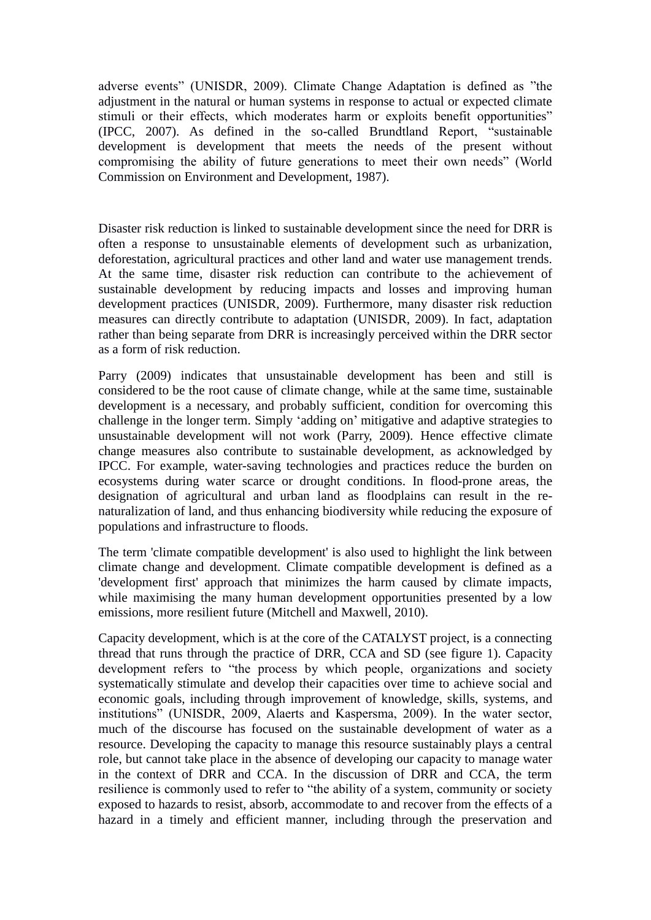adverse events" (UNISDR, 2009). Climate Change Adaptation is defined as "the adjustment in the natural or human systems in response to actual or expected climate stimuli or their effects, which moderates harm or exploits benefit opportunities" (IPCC, 2007). As defined in the so-called Brundtland Report, "sustainable development is development that meets the needs of the present without compromising the ability of future generations to meet their own needs" (World Commission on Environment and Development, 1987).

Disaster risk reduction is linked to sustainable development since the need for DRR is often a response to unsustainable elements of development such as urbanization, deforestation, agricultural practices and other land and water use management trends. At the same time, disaster risk reduction can contribute to the achievement of sustainable development by reducing impacts and losses and improving human development practices (UNISDR, 2009). Furthermore, many disaster risk reduction measures can directly contribute to adaptation (UNISDR, 2009). In fact, adaptation rather than being separate from DRR is increasingly perceived within the DRR sector as a form of risk reduction.

Parry (2009) indicates that unsustainable development has been and still is considered to be the root cause of climate change, while at the same time, sustainable development is a necessary, and probably sufficient, condition for overcoming this challenge in the longer term. Simply 'adding on' mitigative and adaptive strategies to unsustainable development will not work (Parry, 2009). Hence effective climate change measures also contribute to sustainable development, as acknowledged by IPCC. For example, water-saving technologies and practices reduce the burden on ecosystems during water scarce or drought conditions. In flood-prone areas, the designation of agricultural and urban land as floodplains can result in the renaturalization of land, and thus enhancing biodiversity while reducing the exposure of populations and infrastructure to floods.

The term 'climate compatible development' is also used to highlight the link between climate change and development. Climate compatible development is defined as a 'development first' approach that minimizes the harm caused by climate impacts, while maximising the many human development opportunities presented by a low emissions, more resilient future (Mitchell and Maxwell, 2010).

Capacity development, which is at the core of the CATALYST project, is a connecting thread that runs through the practice of DRR, CCA and SD (see figure 1). Capacity development refers to "the process by which people, organizations and society systematically stimulate and develop their capacities over time to achieve social and economic goals, including through improvement of knowledge, skills, systems, and institutions" (UNISDR, 2009, Alaerts and Kaspersma, 2009). In the water sector, much of the discourse has focused on the sustainable development of water as a resource. Developing the capacity to manage this resource sustainably plays a central role, but cannot take place in the absence of developing our capacity to manage water in the context of DRR and CCA. In the discussion of DRR and CCA, the term resilience is commonly used to refer to "the ability of a system, community or society exposed to hazards to resist, absorb, accommodate to and recover from the effects of a hazard in a timely and efficient manner, including through the preservation and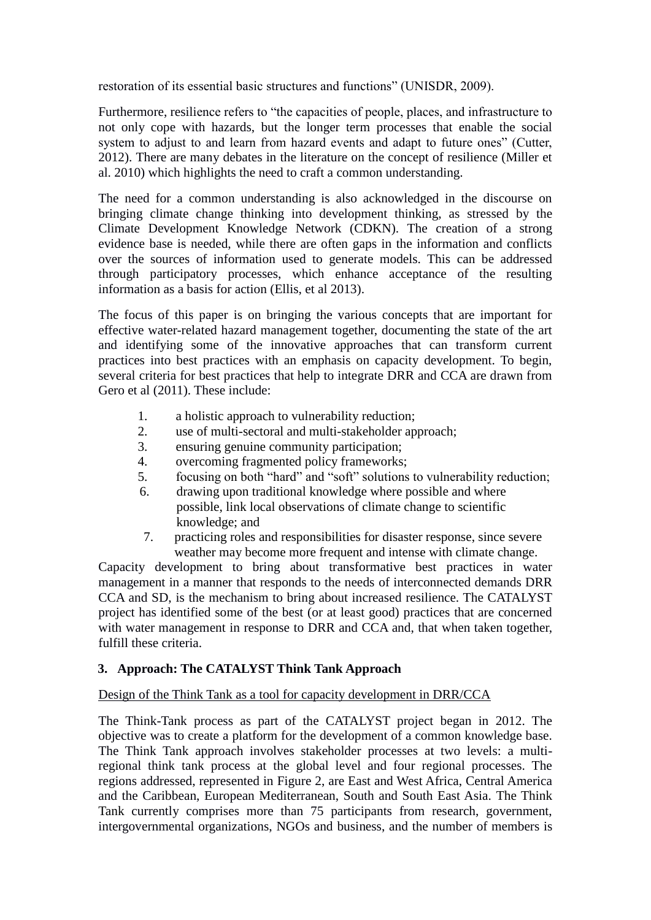restoration of its essential basic structures and functions" (UNISDR, 2009).

Furthermore, resilience refers to "the capacities of people, places, and infrastructure to not only cope with hazards, but the longer term processes that enable the social system to adjust to and learn from hazard events and adapt to future ones" (Cutter, 2012). There are many debates in the literature on the concept of resilience (Miller et al. 2010) which highlights the need to craft a common understanding.

The need for a common understanding is also acknowledged in the discourse on bringing climate change thinking into development thinking, as stressed by the Climate Development Knowledge Network (CDKN). The creation of a strong evidence base is needed, while there are often gaps in the information and conflicts over the sources of information used to generate models. This can be addressed through participatory processes, which enhance acceptance of the resulting information as a basis for action (Ellis, et al 2013).

The focus of this paper is on bringing the various concepts that are important for effective water-related hazard management together, documenting the state of the art and identifying some of the innovative approaches that can transform current practices into best practices with an emphasis on capacity development. To begin, several criteria for best practices that help to integrate DRR and CCA are drawn from Gero et al (2011). These include:

- 1. a holistic approach to vulnerability reduction;
- 2. use of multi-sectoral and multi-stakeholder approach;
- 3. ensuring genuine community participation;
- 4. overcoming fragmented policy frameworks;
- 5. focusing on both "hard" and "soft" solutions to vulnerability reduction;
- 6. drawing upon traditional knowledge where possible and where possible, link local observations of climate change to scientific knowledge; and
- 7. practicing roles and responsibilities for disaster response, since severe weather may become more frequent and intense with climate change.

Capacity development to bring about transformative best practices in water management in a manner that responds to the needs of interconnected demands DRR CCA and SD, is the mechanism to bring about increased resilience. The CATALYST project has identified some of the best (or at least good) practices that are concerned with water management in response to DRR and CCA and, that when taken together, fulfill these criteria.

## **3. Approach: The CATALYST Think Tank Approach**

### Design of the Think Tank as a tool for capacity development in DRR/CCA

The Think-Tank process as part of the CATALYST project began in 2012. The objective was to create a platform for the development of a common knowledge base. The Think Tank approach involves stakeholder processes at two levels: a multiregional think tank process at the global level and four regional processes. The regions addressed, represented in Figure 2, are East and West Africa, Central America and the Caribbean, European Mediterranean, South and South East Asia. The Think Tank currently comprises more than 75 participants from research, government, intergovernmental organizations, NGOs and business, and the number of members is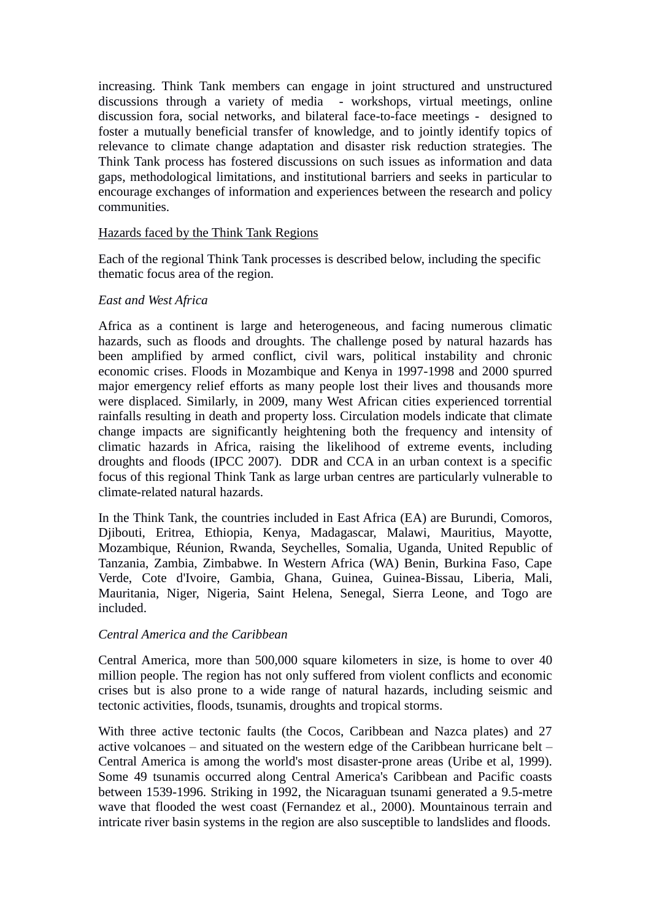increasing. Think Tank members can engage in joint structured and unstructured discussions through a variety of media - workshops, virtual meetings, online discussion fora, social networks, and bilateral face-to-face meetings - designed to foster a mutually beneficial transfer of knowledge, and to jointly identify topics of relevance to climate change adaptation and disaster risk reduction strategies. The Think Tank process has fostered discussions on such issues as information and data gaps, methodological limitations, and institutional barriers and seeks in particular to encourage exchanges of information and experiences between the research and policy communities.

#### Hazards faced by the Think Tank Regions

Each of the regional Think Tank processes is described below, including the specific thematic focus area of the region.

#### *East and West Africa*

Africa as a continent is large and heterogeneous, and facing numerous climatic hazards, such as floods and droughts. The challenge posed by natural hazards has been amplified by armed conflict, civil wars, political instability and chronic economic crises. Floods in Mozambique and Kenya in 1997-1998 and 2000 spurred major emergency relief efforts as many people lost their lives and thousands more were displaced. Similarly, in 2009, many West African cities experienced torrential rainfalls resulting in death and property loss. Circulation models indicate that climate change impacts are significantly heightening both the frequency and intensity of climatic hazards in Africa, raising the likelihood of extreme events, including droughts and floods (IPCC 2007). DDR and CCA in an urban context is a specific focus of this regional Think Tank as large urban centres are particularly vulnerable to climate-related natural hazards.

In the Think Tank, the countries included in East Africa (EA) are Burundi, Comoros, Djibouti, Eritrea, Ethiopia, Kenya, Madagascar, Malawi, Mauritius, Mayotte, Mozambique, Réunion, Rwanda, Seychelles, Somalia, Uganda, United Republic of Tanzania, Zambia, Zimbabwe. In Western Africa (WA) Benin, Burkina Faso, Cape Verde, Cote d'Ivoire, Gambia, Ghana, Guinea, Guinea-Bissau, Liberia, Mali, Mauritania, Niger, Nigeria, Saint Helena, Senegal, Sierra Leone, and Togo are included.

### *Central America and the Caribbean*

Central America, more than 500,000 square kilometers in size, is home to over 40 million people. The region has not only suffered from violent conflicts and economic crises but is also prone to a wide range of natural hazards, including seismic and tectonic activities, floods, tsunamis, droughts and tropical storms.

With three active tectonic faults (the Cocos, Caribbean and Nazca plates) and 27 active volcanoes – and situated on the western edge of the Caribbean hurricane belt – Central America is among the world's most disaster-prone areas (Uribe et al, 1999). Some 49 tsunamis occurred along Central America's Caribbean and Pacific coasts between 1539-1996. Striking in 1992, the Nicaraguan tsunami generated a 9.5-metre wave that flooded the west coast (Fernandez et al., 2000). Mountainous terrain and intricate river basin systems in the region are also susceptible to landslides and floods.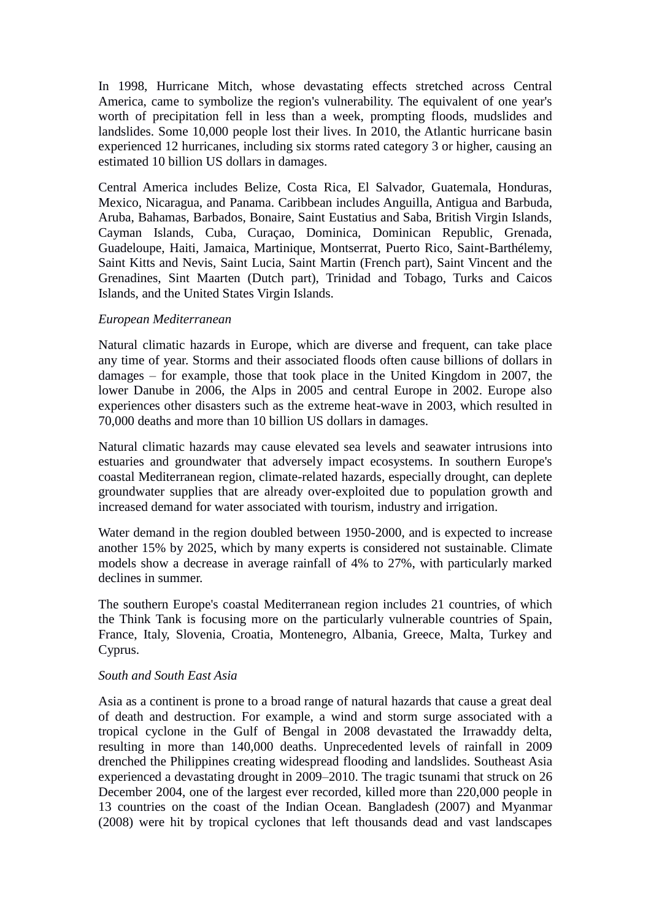In 1998, Hurricane Mitch, whose devastating effects stretched across Central America, came to symbolize the region's vulnerability. The equivalent of one year's worth of precipitation fell in less than a week, prompting floods, mudslides and landslides. Some 10,000 people lost their lives. In 2010, the Atlantic hurricane basin experienced 12 hurricanes, including six storms rated category 3 or higher, causing an estimated 10 billion US dollars in damages.

Central America includes Belize, Costa Rica, El Salvador, Guatemala, Honduras, Mexico, Nicaragua, and Panama. Caribbean includes Anguilla, Antigua and Barbuda, Aruba, Bahamas, Barbados, Bonaire, Saint Eustatius and Saba, British Virgin Islands, Cayman Islands, Cuba, Curaçao, Dominica, Dominican Republic, Grenada, Guadeloupe, Haiti, Jamaica, Martinique, Montserrat, Puerto Rico, Saint-Barthélemy, Saint Kitts and Nevis, Saint Lucia, Saint Martin (French part), Saint Vincent and the Grenadines, Sint Maarten (Dutch part), Trinidad and Tobago, Turks and Caicos Islands, and the United States Virgin Islands.

### *European Mediterranean*

Natural climatic hazards in Europe, which are diverse and frequent, can take place any time of year. Storms and their associated floods often cause billions of dollars in damages – for example, those that took place in the United Kingdom in 2007, the lower Danube in 2006, the Alps in 2005 and central Europe in 2002. Europe also experiences other disasters such as the extreme heat-wave in 2003, which resulted in 70,000 deaths and more than 10 billion US dollars in damages.

Natural climatic hazards may cause elevated sea levels and seawater intrusions into estuaries and groundwater that adversely impact ecosystems. In southern Europe's coastal Mediterranean region, climate-related hazards, especially drought, can deplete groundwater supplies that are already over-exploited due to population growth and increased demand for water associated with tourism, industry and irrigation.

Water demand in the region doubled between 1950-2000, and is expected to increase another 15% by 2025, which by many experts is considered not sustainable. Climate models show a decrease in average rainfall of 4% to 27%, with particularly marked declines in summer.

The southern Europe's coastal Mediterranean region includes 21 countries, of which the Think Tank is focusing more on the particularly vulnerable countries of Spain, France, Italy, Slovenia, Croatia, Montenegro, Albania, Greece, Malta, Turkey and Cyprus.

#### *South and South East Asia*

Asia as a continent is prone to a broad range of natural hazards that cause a great deal of death and destruction. For example, a wind and storm surge associated with a tropical cyclone in the Gulf of Bengal in 2008 devastated the Irrawaddy delta, resulting in more than 140,000 deaths. Unprecedented levels of rainfall in 2009 drenched the Philippines creating widespread flooding and landslides. Southeast Asia experienced a devastating drought in 2009–2010. The tragic tsunami that struck on 26 December 2004, one of the largest ever recorded, killed more than 220,000 people in 13 countries on the coast of the Indian Ocean. Bangladesh (2007) and Myanmar (2008) were hit by tropical cyclones that left thousands dead and vast landscapes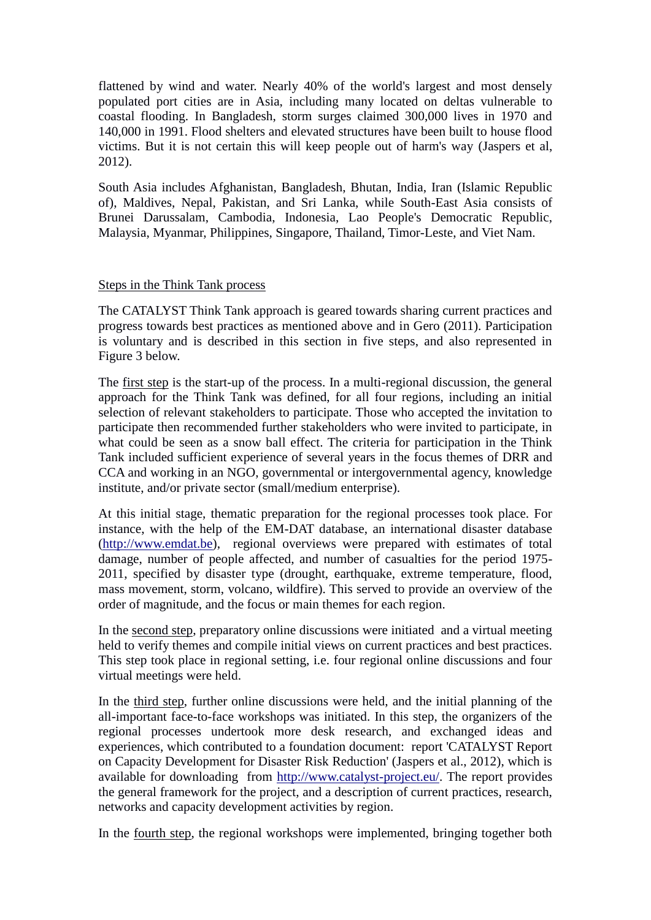flattened by wind and water. Nearly 40% of the world's largest and most densely populated port cities are in Asia, including many located on deltas vulnerable to coastal flooding. In Bangladesh, storm surges claimed 300,000 lives in 1970 and 140,000 in 1991. Flood shelters and elevated structures have been built to house flood victims. But it is not certain this will keep people out of harm's way (Jaspers et al, 2012).

South Asia includes Afghanistan, Bangladesh, Bhutan, India, Iran (Islamic Republic of), Maldives, Nepal, Pakistan, and Sri Lanka, while South-East Asia consists of Brunei Darussalam, Cambodia, Indonesia, Lao People's Democratic Republic, Malaysia, Myanmar, Philippines, Singapore, Thailand, Timor-Leste, and Viet Nam.

### Steps in the Think Tank process

The CATALYST Think Tank approach is geared towards sharing current practices and progress towards best practices as mentioned above and in Gero (2011). Participation is voluntary and is described in this section in five steps, and also represented in Figure 3 below.

The first step is the start-up of the process. In a multi-regional discussion, the general approach for the Think Tank was defined, for all four regions, including an initial selection of relevant stakeholders to participate. Those who accepted the invitation to participate then recommended further stakeholders who were invited to participate, in what could be seen as a snow ball effect. The criteria for participation in the Think Tank included sufficient experience of several years in the focus themes of DRR and CCA and working in an NGO, governmental or intergovernmental agency, knowledge institute, and/or private sector (small/medium enterprise).

At this initial stage, thematic preparation for the regional processes took place. For instance, with the help of the EM-DAT database, an international disaster database [\(http://www.emdat.be\)](http://www.emdat.be/), regional overviews were prepared with estimates of total damage, number of people affected, and number of casualties for the period 1975- 2011, specified by disaster type (drought, earthquake, extreme temperature, flood, mass movement, storm, volcano, wildfire). This served to provide an overview of the order of magnitude, and the focus or main themes for each region.

In the second step, preparatory online discussions were initiated and a virtual meeting held to verify themes and compile initial views on current practices and best practices. This step took place in regional setting, i.e. four regional online discussions and four virtual meetings were held.

In the third step, further online discussions were held, and the initial planning of the all-important face-to-face workshops was initiated. In this step, the organizers of the regional processes undertook more desk research, and exchanged ideas and experiences, which contributed to a foundation document: report 'CATALYST Report on Capacity Development for Disaster Risk Reduction' (Jaspers et al., 2012), which is available for downloading from [http://www.catalyst-project.eu/.](http://www.catalyst-project.eu/) The report provides the general framework for the project, and a description of current practices, research, networks and capacity development activities by region.

In the fourth step, the regional workshops were implemented, bringing together both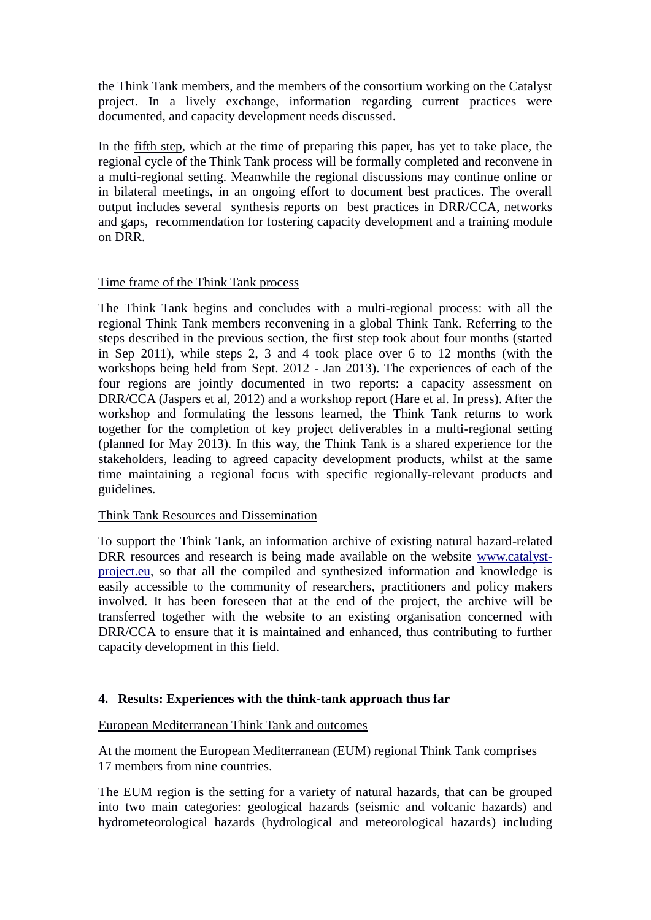the Think Tank members, and the members of the consortium working on the Catalyst project. In a lively exchange, information regarding current practices were documented, and capacity development needs discussed.

In the fifth step, which at the time of preparing this paper, has yet to take place, the regional cycle of the Think Tank process will be formally completed and reconvene in a multi-regional setting. Meanwhile the regional discussions may continue online or in bilateral meetings, in an ongoing effort to document best practices. The overall output includes several synthesis reports on best practices in DRR/CCA, networks and gaps, recommendation for fostering capacity development and a training module on DRR.

## Time frame of the Think Tank process

The Think Tank begins and concludes with a multi-regional process: with all the regional Think Tank members reconvening in a global Think Tank. Referring to the steps described in the previous section, the first step took about four months (started in Sep 2011), while steps 2, 3 and 4 took place over 6 to 12 months (with the workshops being held from Sept. 2012 - Jan 2013). The experiences of each of the four regions are jointly documented in two reports: a capacity assessment on DRR/CCA (Jaspers et al, 2012) and a workshop report (Hare et al. In press). After the workshop and formulating the lessons learned, the Think Tank returns to work together for the completion of key project deliverables in a multi-regional setting (planned for May 2013). In this way, the Think Tank is a shared experience for the stakeholders, leading to agreed capacity development products, whilst at the same time maintaining a regional focus with specific regionally-relevant products and guidelines.

### Think Tank Resources and Dissemination

To support the Think Tank, an information archive of existing natural hazard-related DRR resources and research is being made available on the website [www.catalyst](http://www.catalyst-project.eu/)[project.eu,](http://www.catalyst-project.eu/) so that all the compiled and synthesized information and knowledge is easily accessible to the community of researchers, practitioners and policy makers involved. It has been foreseen that at the end of the project, the archive will be transferred together with the website to an existing organisation concerned with DRR/CCA to ensure that it is maintained and enhanced, thus contributing to further capacity development in this field.

## **4. Results: Experiences with the think-tank approach thus far**

### European Mediterranean Think Tank and outcomes

At the moment the European Mediterranean (EUM) regional Think Tank comprises 17 members from nine countries.

The EUM region is the setting for a variety of natural hazards, that can be grouped into two main categories: geological hazards (seismic and volcanic hazards) and hydrometeorological hazards (hydrological and meteorological hazards) including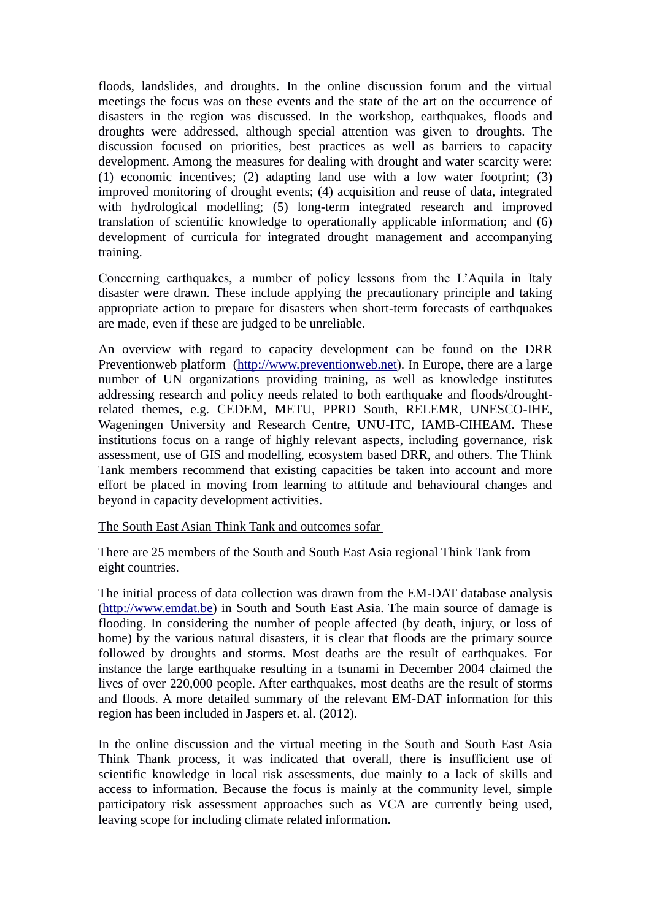floods, landslides, and droughts. In the online discussion forum and the virtual meetings the focus was on these events and the state of the art on the occurrence of disasters in the region was discussed. In the workshop, earthquakes, floods and droughts were addressed, although special attention was given to droughts. The discussion focused on priorities, best practices as well as barriers to capacity development. Among the measures for dealing with drought and water scarcity were: (1) economic incentives; (2) adapting land use with a low water footprint; (3) improved monitoring of drought events; (4) acquisition and reuse of data, integrated with hydrological modelling; (5) long-term integrated research and improved translation of scientific knowledge to operationally applicable information; and (6) development of curricula for integrated drought management and accompanying training.

Concerning earthquakes, a number of policy lessons from the L'Aquila in Italy disaster were drawn. These include applying the precautionary principle and taking appropriate action to prepare for disasters when short-term forecasts of earthquakes are made, even if these are judged to be unreliable.

An overview with regard to capacity development can be found on the DRR Preventionweb platform [\(http://www.preventionweb.net\)](http://www.preventionweb.net/). In Europe, there are a large number of UN organizations providing training, as well as knowledge institutes addressing research and policy needs related to both earthquake and floods/droughtrelated themes, e.g. CEDEM, METU, PPRD South, RELEMR, UNESCO-IHE, Wageningen University and Research Centre, UNU-ITC, IAMB-CIHEAM. These institutions focus on a range of highly relevant aspects, including governance, risk assessment, use of GIS and modelling, ecosystem based DRR, and others. The Think Tank members recommend that existing capacities be taken into account and more effort be placed in moving from learning to attitude and behavioural changes and beyond in capacity development activities.

### The South East Asian Think Tank and outcomes sofar

There are 25 members of the South and South East Asia regional Think Tank from eight countries.

The initial process of data collection was drawn from the EM-DAT database analysis [\(http://www.emdat.be\)](http://www.emdat.be/) in South and South East Asia. The main source of damage is flooding. In considering the number of people affected (by death, injury, or loss of home) by the various natural disasters, it is clear that floods are the primary source followed by droughts and storms. Most deaths are the result of earthquakes. For instance the large earthquake resulting in a tsunami in December 2004 claimed the lives of over 220,000 people. After earthquakes, most deaths are the result of storms and floods. A more detailed summary of the relevant EM-DAT information for this region has been included in Jaspers et. al. (2012).

In the online discussion and the virtual meeting in the South and South East Asia Think Thank process, it was indicated that overall, there is insufficient use of scientific knowledge in local risk assessments, due mainly to a lack of skills and access to information. Because the focus is mainly at the community level, simple participatory risk assessment approaches such as VCA are currently being used, leaving scope for including climate related information.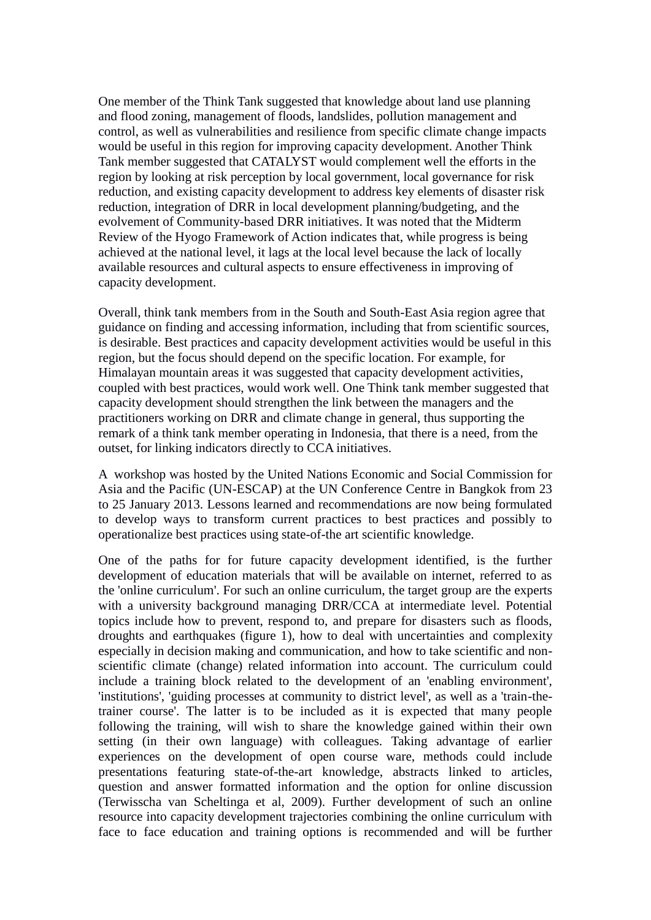One member of the Think Tank suggested that knowledge about land use planning and flood zoning, management of floods, landslides, pollution management and control, as well as vulnerabilities and resilience from specific climate change impacts would be useful in this region for improving capacity development. Another Think Tank member suggested that CATALYST would complement well the efforts in the region by looking at risk perception by local government, local governance for risk reduction, and existing capacity development to address key elements of disaster risk reduction, integration of DRR in local development planning/budgeting, and the evolvement of Community-based DRR initiatives. It was noted that the Midterm Review of the Hyogo Framework of Action indicates that, while progress is being achieved at the national level, it lags at the local level because the lack of locally available resources and cultural aspects to ensure effectiveness in improving of capacity development.

Overall, think tank members from in the South and South-East Asia region agree that guidance on finding and accessing information, including that from scientific sources, is desirable. Best practices and capacity development activities would be useful in this region, but the focus should depend on the specific location. For example, for Himalayan mountain areas it was suggested that capacity development activities, coupled with best practices, would work well. One Think tank member suggested that capacity development should strengthen the link between the managers and the practitioners working on DRR and climate change in general, thus supporting the remark of a think tank member operating in Indonesia, that there is a need, from the outset, for linking indicators directly to CCA initiatives.

A workshop was hosted by the United Nations Economic and Social Commission for Asia and the Pacific (UN-ESCAP) at the UN Conference Centre in Bangkok from 23 to 25 January 2013. Lessons learned and recommendations are now being formulated to develop ways to transform current practices to best practices and possibly to operationalize best practices using state-of-the art scientific knowledge.

One of the paths for for future capacity development identified, is the further development of education materials that will be available on internet, referred to as the 'online curriculum'. For such an online curriculum, the target group are the experts with a university background managing DRR/CCA at intermediate level. Potential topics include how to prevent, respond to, and prepare for disasters such as floods, droughts and earthquakes (figure 1), how to deal with uncertainties and complexity especially in decision making and communication, and how to take scientific and nonscientific climate (change) related information into account. The curriculum could include a training block related to the development of an 'enabling environment', 'institutions', 'guiding processes at community to district level', as well as a 'train-thetrainer course'. The latter is to be included as it is expected that many people following the training, will wish to share the knowledge gained within their own setting (in their own language) with colleagues. Taking advantage of earlier experiences on the development of open course ware, methods could include presentations featuring state-of-the-art knowledge, abstracts linked to articles, question and answer formatted information and the option for online discussion (Terwisscha van Scheltinga et al, 2009). Further development of such an online resource into capacity development trajectories combining the online curriculum with face to face education and training options is recommended and will be further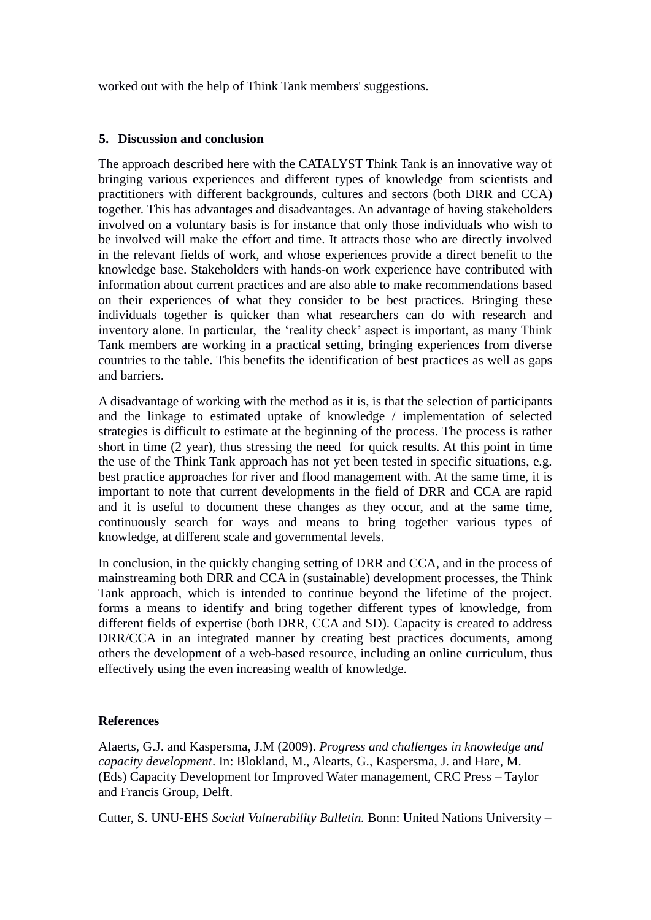worked out with the help of Think Tank members' suggestions.

## **5. Discussion and conclusion**

The approach described here with the CATALYST Think Tank is an innovative way of bringing various experiences and different types of knowledge from scientists and practitioners with different backgrounds, cultures and sectors (both DRR and CCA) together. This has advantages and disadvantages. An advantage of having stakeholders involved on a voluntary basis is for instance that only those individuals who wish to be involved will make the effort and time. It attracts those who are directly involved in the relevant fields of work, and whose experiences provide a direct benefit to the knowledge base. Stakeholders with hands-on work experience have contributed with information about current practices and are also able to make recommendations based on their experiences of what they consider to be best practices. Bringing these individuals together is quicker than what researchers can do with research and inventory alone. In particular, the 'reality check' aspect is important, as many Think Tank members are working in a practical setting, bringing experiences from diverse countries to the table. This benefits the identification of best practices as well as gaps and barriers.

A disadvantage of working with the method as it is, is that the selection of participants and the linkage to estimated uptake of knowledge / implementation of selected strategies is difficult to estimate at the beginning of the process. The process is rather short in time (2 year), thus stressing the need for quick results. At this point in time the use of the Think Tank approach has not yet been tested in specific situations, e.g. best practice approaches for river and flood management with. At the same time, it is important to note that current developments in the field of DRR and CCA are rapid and it is useful to document these changes as they occur, and at the same time, continuously search for ways and means to bring together various types of knowledge, at different scale and governmental levels.

In conclusion, in the quickly changing setting of DRR and CCA, and in the process of mainstreaming both DRR and CCA in (sustainable) development processes, the Think Tank approach, which is intended to continue beyond the lifetime of the project. forms a means to identify and bring together different types of knowledge, from different fields of expertise (both DRR, CCA and SD). Capacity is created to address DRR/CCA in an integrated manner by creating best practices documents, among others the development of a web-based resource, including an online curriculum, thus effectively using the even increasing wealth of knowledge.

### **References**

Alaerts, G.J. and Kaspersma, J.M (2009). *Progress and challenges in knowledge and capacity development*. In: Blokland, M., Alearts, G., Kaspersma, J. and Hare, M. (Eds) Capacity Development for Improved Water management, CRC Press – Taylor and Francis Group, Delft.

Cutter, S. UNU-EHS *Social Vulnerability Bulletin.* Bonn: United Nations University –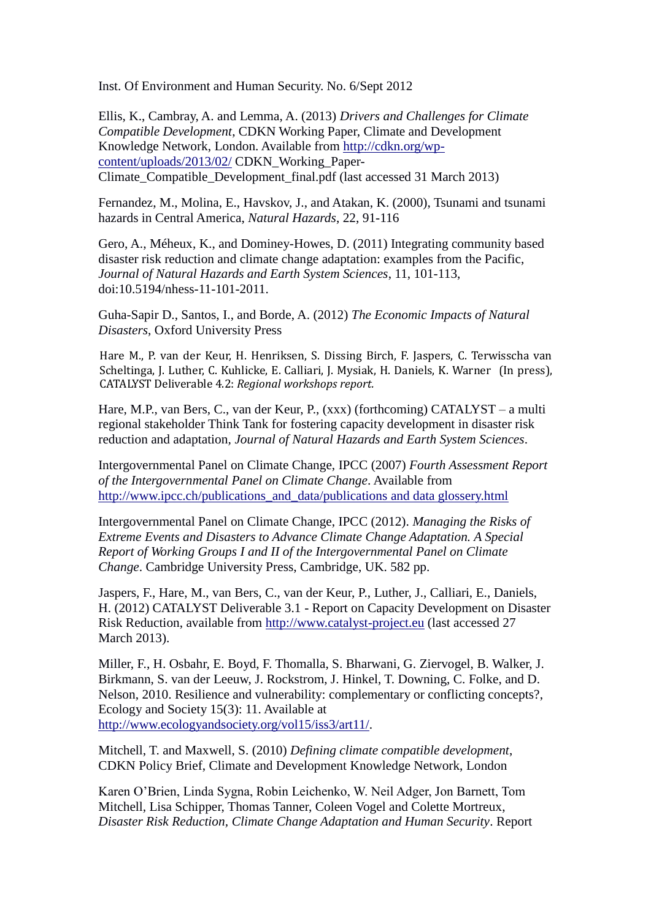Inst. Of Environment and Human Security. No. 6/Sept 2012

Ellis, K., Cambray, A. and Lemma, A. (2013) *Drivers and Challenges for Climate Compatible Development*, CDKN Working Paper, Climate and Development Knowledge Network, London. Available from [http://cdkn.org/wp](http://cdkn.org/wp-content/uploads/2013/02/)[content/uploads/2013/02/](http://cdkn.org/wp-content/uploads/2013/02/) CDKN\_Working\_Paper-Climate\_Compatible\_Development\_final.pdf (last accessed 31 March 2013)

Fernandez, M., Molina, E., Havskov, J., and Atakan, K. (2000), Tsunami and tsunami hazards in Central America, *Natural Hazards*, 22, 91-116

Gero, A., Méheux, K., and Dominey-Howes, D. (2011) Integrating community based disaster risk reduction and climate change adaptation: examples from the Pacific, *Journal of Natural Hazards and Earth System Sciences*, 11, 101-113, doi:10.5194/nhess-11-101-2011.

Guha-Sapir D., Santos, I., and Borde, A. (2012) *The Economic Impacts of Natural Disasters*, Oxford University Press

Hare M., P. van der Keur, H. Henriksen, S. Dissing Birch, F. Jaspers, C. Terwisscha van Scheltinga, J. Luther, C. Kuhlicke, E. Calliari, J. Mysiak, H. Daniels, K. Warner (In press), CATALYST Deliverable 4.2: *Regional workshops report.*

Hare, M.P., van Bers, C., van der Keur, P., (xxx) (forthcoming) CATALYST – a multi regional stakeholder Think Tank for fostering capacity development in disaster risk reduction and adaptation*, Journal of Natural Hazards and Earth System Sciences*.

Intergovernmental Panel on Climate Change, IPCC (2007) *Fourth Assessment Report of the Intergovernmental Panel on Climate Change*. Available from [http://www.ipcc.ch/publications\\_and\\_data/publications](http://www.ipcc.ch/publications_and_data/publications%20and%20data%20glossery.html) and data glossery.html

Intergovernmental Panel on Climate Change, IPCC (2012). *Managing the Risks of Extreme Events and Disasters to Advance Climate Change Adaptation. A Special Report of Working Groups I and II of the Intergovernmental Panel on Climate Change*. Cambridge University Press, Cambridge, UK. 582 pp.

Jaspers, F., Hare, M., van Bers, C., van der Keur, P., Luther, J., Calliari, E., Daniels, H. (2012) CATALYST Deliverable 3.1 - Report on Capacity Development on Disaster Risk Reduction, available from [http://www.catalyst-project.eu](http://www.catalyst-project.eu/) (last accessed 27 March 2013).

Miller, F., H. Osbahr, E. Boyd, F. Thomalla, S. Bharwani, G. Ziervogel, B. Walker, J. Birkmann, S. van der Leeuw, J. Rockstrom, J. Hinkel, T. Downing, C. Folke, and D. Nelson, 2010. Resilience and vulnerability: complementary or conflicting concepts?, Ecology and Society 15(3): 11. Available at [http://www.ecologyandsociety.org/vol15/iss3/art11/.](http://www.ecologyandsociety.org/vol15/iss3/art11/)

Mitchell, T. and Maxwell, S. (2010) *Defining climate compatible development*, CDKN Policy Brief, Climate and Development Knowledge Network, London

Karen O'Brien, Linda Sygna, Robin Leichenko, W. Neil Adger, Jon Barnett, Tom Mitchell, Lisa Schipper, Thomas Tanner, Coleen Vogel and Colette Mortreux, *Disaster Risk Reduction, Climate Change Adaptation and Human Security*. Report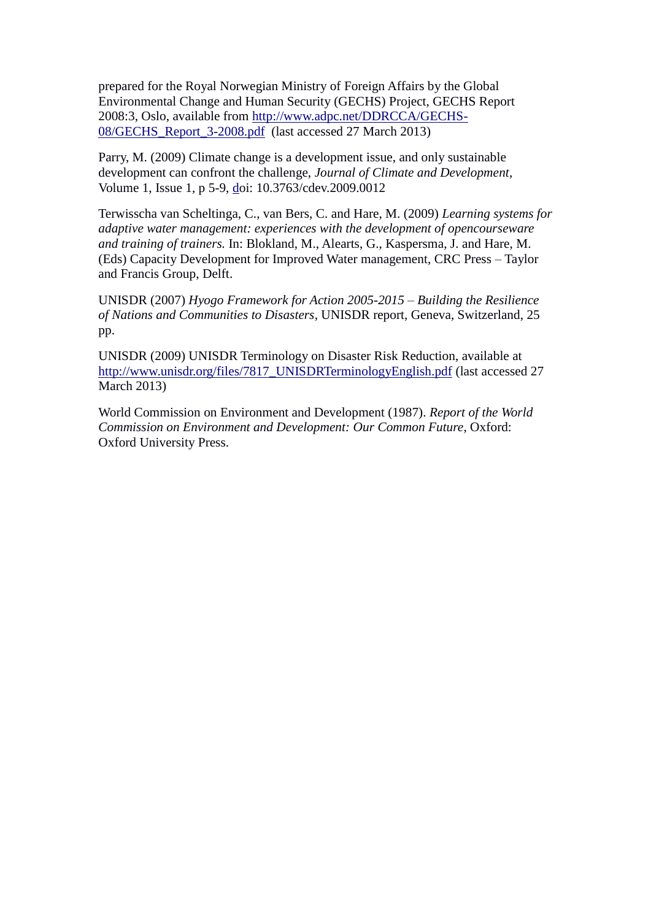prepared for the Royal Norwegian Ministry of Foreign Affairs by the Global Environmental Change and Human Security (GECHS) Project, GECHS Report 2008:3, Oslo, available from [http://www.adpc.net/DDRCCA/GECHS-](http://www.adpc.net/DDRCCA/GECHS-08/GECHS_Report_3-2008.pdf)[08/GECHS\\_Report\\_3-2008.pdf](http://www.adpc.net/DDRCCA/GECHS-08/GECHS_Report_3-2008.pdf) (last accessed 27 March 2013)

Parry, M. (2009) Climate change is a development issue, and only sustainable development can confront the challenge, *Journal of Climate and Development*, Volume 1, Issue 1, p 5-9, [do](http://www.tandfonline.com/doi/pdf/10.3763/cdev.2009.0012)i: 10.3763/cdev.2009.0012

Terwisscha van Scheltinga, C., van Bers, C. and Hare, M. (2009) *Learning systems for adaptive water management: experiences with the development of opencourseware and training of trainers.* In: Blokland, M., Alearts, G., Kaspersma, J. and Hare, M. (Eds) Capacity Development for Improved Water management, CRC Press – Taylor and Francis Group, Delft.

UNISDR (2007) *Hyogo Framework for Action 2005-2015 – Building the Resilience of Nations and Communities to Disasters*, UNISDR report, Geneva, Switzerland, 25 pp.

UNISDR (2009) UNISDR Terminology on Disaster Risk Reduction, available at [http://www.unisdr.org/files/7817\\_UNISDRTerminologyEnglish.pdf](http://www.unisdr.org/files/7817_UNISDRTerminologyEnglish.pdf) (last accessed 27 March 2013)

World Commission on Environment and Development (1987). *Report of the World Commission on Environment and Development: Our Common Future*, Oxford: Oxford University Press.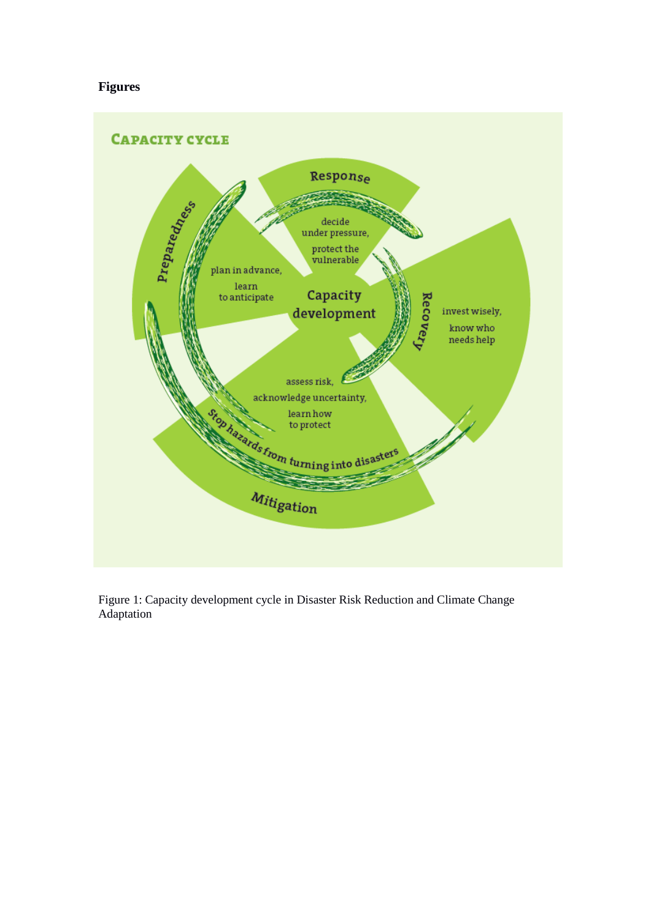# **Figures**



Figure 1: Capacity development cycle in Disaster Risk Reduction and Climate Change Adaptation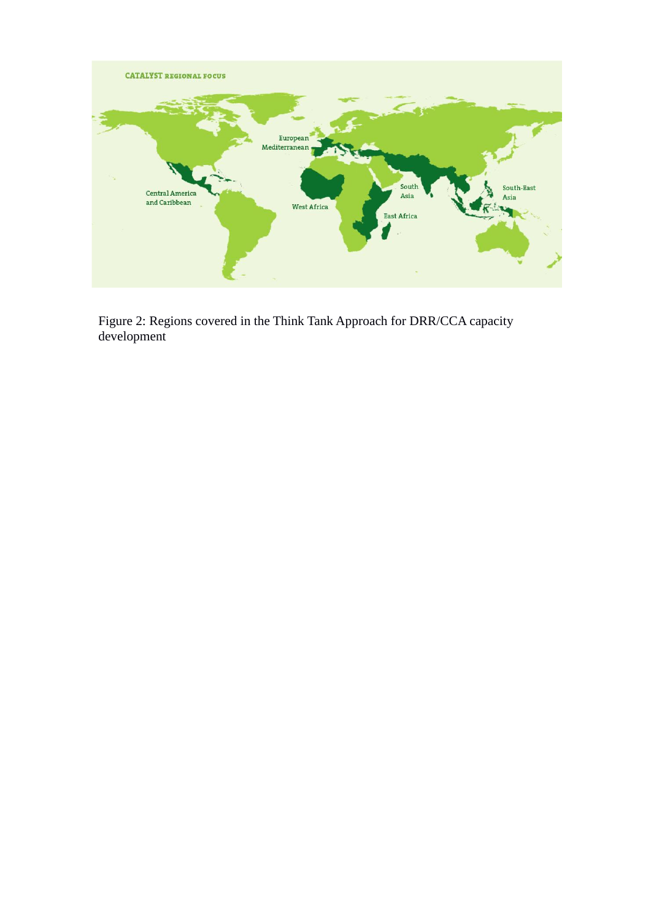

Figure 2: Regions covered in the Think Tank Approach for DRR/CCA capacity development